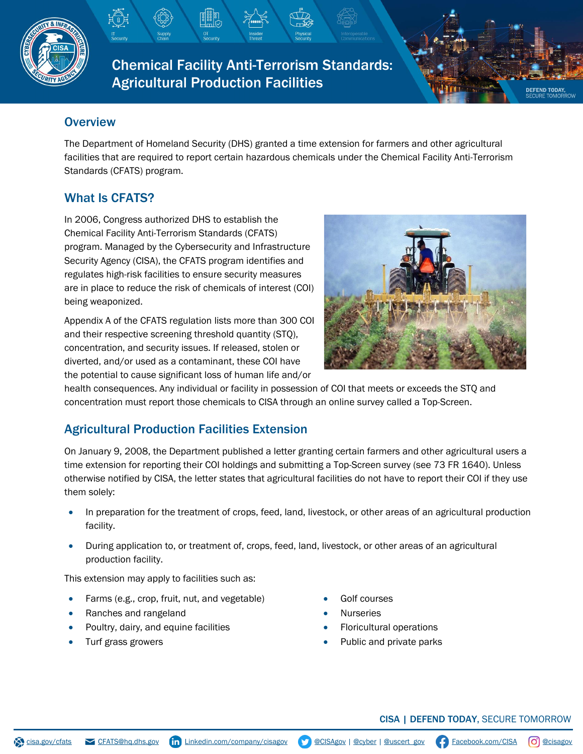

Chemical Facility Anti-Terrorism Standards: Agricultural Production Facilities

### **Overview**

The Department of Homeland Security (DHS) granted a time extension for farmers and other agricultural facilities that are required to report certain hazardous chemicals under the Chemical Facility Anti-Terrorism Standards (CFATS) program.

# What Is CFATS?

In 2006, Congress authorized DHS to establish the Chemical Facility Anti-Terrorism Standards (CFATS) program. Managed by the Cybersecurity and Infrastructure Security Agency (CISA), the CFATS program identifies and regulates high-risk facilities to ensure security measures are in place to reduce the risk of chemicals of interest (COI) being weaponized.

Appendix A of the CFATS regulation lists more than 300 COI and their respective screening threshold quantity (STQ), concentration, and security issues. If released, stolen or diverted, and/or used as a contaminant, these COI have the potential to cause significant loss of human life and/or



health consequences. Any individual or facility in possession of COI that meets or exceeds the STQ and concentration must report those chemicals to CISA through an online survey called a Top-Screen.

## Agricultural Production Facilities Extension

On January 9, 2008, the Department published a letter granting certain farmers and other agricultural users a time extension for reporting their COI holdings and submitting a Top-Screen survey (see 73 FR 1640). Unless otherwise notified by CISA, the letter states that agricultural facilities do not have to report their COI if they use them solely:

- In preparation for the treatment of crops, feed, land, livestock, or other areas of an agricultural production facility.
- During application to, or treatment of, crops, feed, land, livestock, or other areas of an agricultural production facility.

This extension may apply to facilities such as:

- Farms (e.g., crop, fruit, nut, and vegetable)
- Ranches and rangeland
- Poultry, dairy, and equine facilities
- Turf grass growers
- Golf courses
- **Nurseries**
- Floricultural operations
- Public and private parks

**EFEND TODAY**